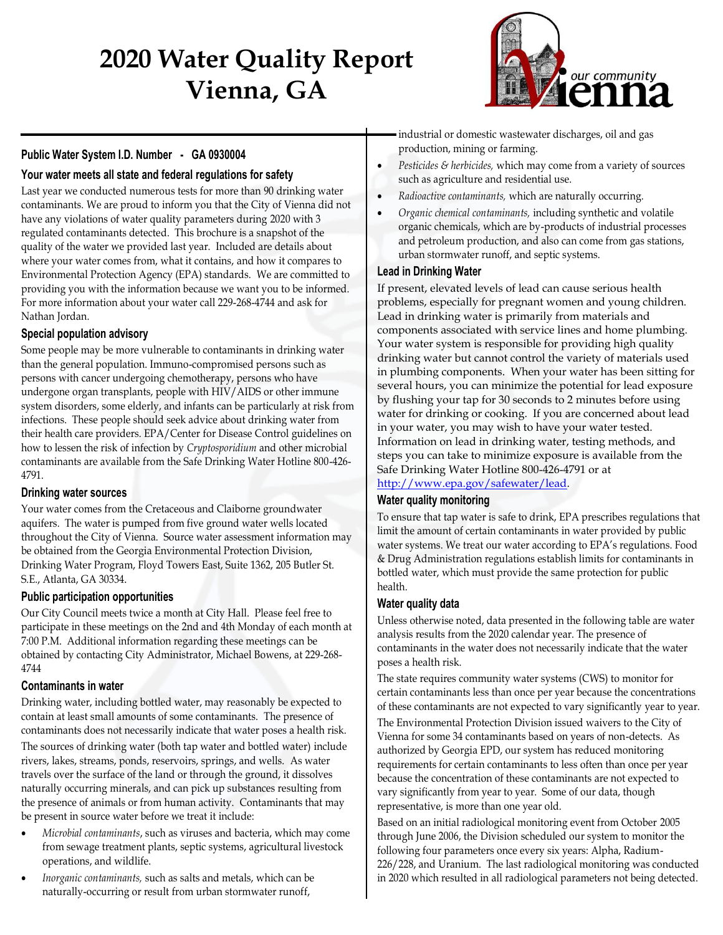# **2020 Water Quality Report Vienna, GA**



# **Public Water System I.D. Number - GA 0930004**

## **Your water meets all state and federal regulations for safety**

Last year we conducted numerous tests for more than 90 drinking water contaminants. We are proud to inform you that the City of Vienna did not have any violations of water quality parameters during 2020 with 3 regulated contaminants detected. This brochure is a snapshot of the quality of the water we provided last year. Included are details about where your water comes from, what it contains, and how it compares to Environmental Protection Agency (EPA) standards. We are committed to providing you with the information because we want you to be informed. For more information about your water call 229-268-4744 and ask for Nathan Jordan.

### **Special population advisory**

Some people may be more vulnerable to contaminants in drinking water than the general population. Immuno-compromised persons such as persons with cancer undergoing chemotherapy, persons who have undergone organ transplants, people with HIV/AIDS or other immune system disorders, some elderly, and infants can be particularly at risk from infections. These people should seek advice about drinking water from their health care providers. EPA/Center for Disease Control guidelines on how to lessen the risk of infection by *Cryptosporidium* and other microbial contaminants are available from the Safe Drinking Water Hotline 800-426- 4791.

#### **Drinking water sources**

Your water comes from the Cretaceous and Claiborne groundwater aquifers. The water is pumped from five ground water wells located throughout the City of Vienna. Source water assessment information may be obtained from the Georgia Environmental Protection Division, Drinking Water Program, Floyd Towers East, Suite 1362, 205 Butler St. S.E., Atlanta, GA 30334.

#### **Public participation opportunities**

Our City Council meets twice a month at City Hall. Please feel free to participate in these meetings on the 2nd and 4th Monday of each month at 7:00 P.M. Additional information regarding these meetings can be obtained by contacting City Administrator, Michael Bowens, at 229-268- 4744

#### **Contaminants in water**

Drinking water, including bottled water, may reasonably be expected to contain at least small amounts of some contaminants. The presence of contaminants does not necessarily indicate that water poses a health risk. The sources of drinking water (both tap water and bottled water) include rivers, lakes, streams, ponds, reservoirs, springs, and wells. As water travels over the surface of the land or through the ground, it dissolves naturally occurring minerals, and can pick up substances resulting from the presence of animals or from human activity. Contaminants that may be present in source water before we treat it include:

- *Microbial contaminants*, such as viruses and bacteria, which may come from sewage treatment plants, septic systems, agricultural livestock operations, and wildlife.
- *Inorganic contaminants,* such as salts and metals, which can be naturally-occurring or result from urban stormwater runoff,

industrial or domestic wastewater discharges, oil and gas production, mining or farming.

- *Pesticides & herbicides,* which may come from a variety of sources such as agriculture and residential use.
- *Radioactive contaminants,* which are naturally occurring.
- *Organic chemical contaminants,* including synthetic and volatile organic chemicals, which are by-products of industrial processes and petroleum production, and also can come from gas stations, urban stormwater runoff, and septic systems.

#### **Lead in Drinking Water**

If present, elevated levels of lead can cause serious health problems, especially for pregnant women and young children. Lead in drinking water is primarily from materials and components associated with service lines and home plumbing. Your water system is responsible for providing high quality drinking water but cannot control the variety of materials used in plumbing components. When your water has been sitting for several hours, you can minimize the potential for lead exposure by flushing your tap for 30 seconds to 2 minutes before using water for drinking or cooking. If you are concerned about lead in your water, you may wish to have your water tested. Information on lead in drinking water, testing methods, and steps you can take to minimize exposure is available from the Safe Drinking Water Hotline 800-426-4791 or at [http://www.epa.gov/safewater/lead.](http://www.epa.gov/safewater/lead)

## **Water quality monitoring**

To ensure that tap water is safe to drink, EPA prescribes regulations that limit the amount of certain contaminants in water provided by public water systems. We treat our water according to EPA's regulations. Food & Drug Administration regulations establish limits for contaminants in bottled water, which must provide the same protection for public health.

#### **Water quality data**

Unless otherwise noted, data presented in the following table are water analysis results from the 2020 calendar year. The presence of contaminants in the water does not necessarily indicate that the water poses a health risk.

The state requires community water systems (CWS) to monitor for certain contaminants less than once per year because the concentrations of these contaminants are not expected to vary significantly year to year.

The Environmental Protection Division issued waivers to the City of Vienna for some 34 contaminants based on years of non-detects. As authorized by Georgia EPD, our system has reduced monitoring requirements for certain contaminants to less often than once per year because the concentration of these contaminants are not expected to vary significantly from year to year. Some of our data, though representative, is more than one year old.

Based on an initial radiological monitoring event from October 2005 through June 2006, the Division scheduled our system to monitor the following four parameters once every six years: Alpha, Radium-226/228, and Uranium. The last radiological monitoring was conducted in 2020 which resulted in all radiological parameters not being detected.